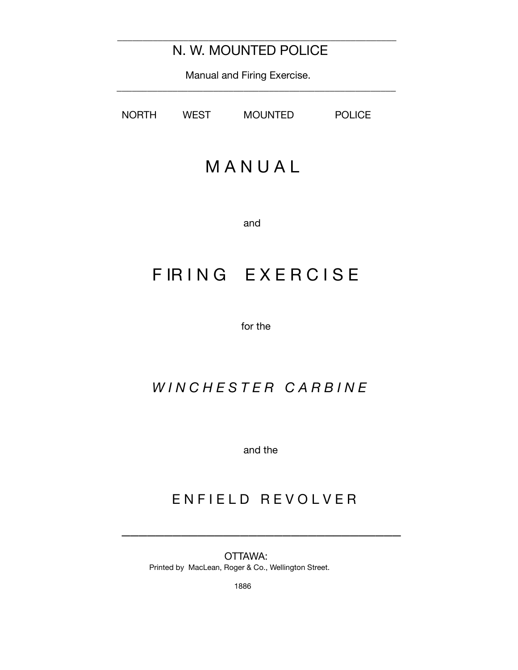\_\_\_\_\_\_\_\_\_\_\_\_\_\_\_\_\_\_\_\_\_\_\_\_\_\_\_\_\_\_\_\_\_\_\_\_\_\_\_\_\_\_\_\_\_\_\_\_\_\_\_\_\_\_\_

 Manual and Firing Exercise. \_\_\_\_\_\_\_\_\_\_\_\_\_\_\_\_\_\_\_\_\_\_\_\_\_\_\_\_\_\_\_\_\_\_\_\_\_\_\_\_\_\_\_\_\_\_\_\_\_\_\_\_\_\_\_

NORTH WEST MOUNTED POLICE

# M A N U A L

and

# F IR I N G E X E R C I S E

for the

### *W I N C H E S T E R C A R B I N E*

and the

### ENFIELD REVOLVER

 $\overline{\phantom{a}}$  , and the contract of the contract of the contract of the contract of the contract of the contract of the contract of the contract of the contract of the contract of the contract of the contract of the contrac

 OTTAWA: Printed by MacLean, Roger & Co., Wellington Street.

1886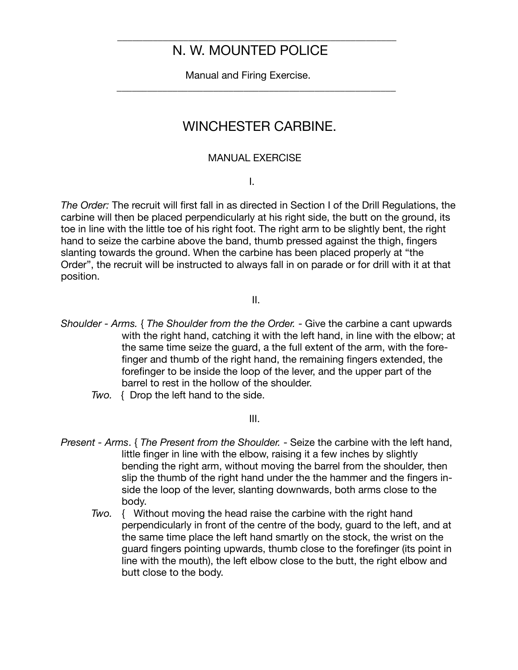\_\_\_\_\_\_\_\_\_\_\_\_\_\_\_\_\_\_\_\_\_\_\_\_\_\_\_\_\_\_\_\_\_\_\_\_\_\_\_\_\_\_\_\_\_\_\_\_\_\_\_\_\_\_\_

 Manual and Firing Exercise. \_\_\_\_\_\_\_\_\_\_\_\_\_\_\_\_\_\_\_\_\_\_\_\_\_\_\_\_\_\_\_\_\_\_\_\_\_\_\_\_\_\_\_\_\_\_\_\_\_\_\_\_\_\_\_

### WINCHESTER CARBINE.

#### MANUAL EXERCISE

I.

*The Order:* The recruit will first fall in as directed in Section I of the Drill Regulations, the carbine will then be placed perpendicularly at his right side, the butt on the ground, its toe in line with the little toe of his right foot. The right arm to be slightly bent, the right hand to seize the carbine above the band, thumb pressed against the thigh, fingers slanting towards the ground. When the carbine has been placed properly at "the Order", the recruit will be instructed to always fall in on parade or for drill with it at that position.

II.

- *Shoulder Arms.* { *The Shoulder from the the Order.* Give the carbine a cant upwards with the right hand, catching it with the left hand, in line with the elbow; at the same time seize the guard, a the full extent of the arm, with the forefinger and thumb of the right hand, the remaining fingers extended, the forefinger to be inside the loop of the lever, and the upper part of the barrel to rest in the hollow of the shoulder.
	- *Two.* { Drop the left hand to the side.

III.

- *Present Arms*. { *The Present from the Shoulder.* Seize the carbine with the left hand, little finger in line with the elbow, raising it a few inches by slightly bending the right arm, without moving the barrel from the shoulder, then slip the thumb of the right hand under the the hammer and the fingers inside the loop of the lever, slanting downwards, both arms close to the body.
	- *Two.* { Without moving the head raise the carbine with the right hand perpendicularly in front of the centre of the body, guard to the left, and at the same time place the left hand smartly on the stock, the wrist on the guard fingers pointing upwards, thumb close to the forefinger (its point in line with the mouth), the left elbow close to the butt, the right elbow and butt close to the body.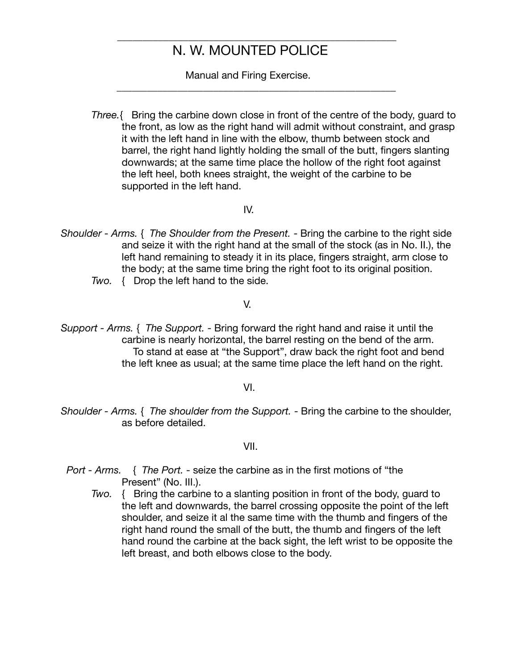\_\_\_\_\_\_\_\_\_\_\_\_\_\_\_\_\_\_\_\_\_\_\_\_\_\_\_\_\_\_\_\_\_\_\_\_\_\_\_\_\_\_\_\_\_\_\_\_\_\_\_\_\_\_\_

Manual and Firing Exercise.

\_\_\_\_\_\_\_\_\_\_\_\_\_\_\_\_\_\_\_\_\_\_\_\_\_\_\_\_\_\_\_\_\_\_\_\_\_\_\_\_\_\_\_\_\_\_\_\_\_\_\_\_\_\_\_

*Three.*{ Bring the carbine down close in front of the centre of the body, guard to the front, as low as the right hand will admit without constraint, and grasp it with the left hand in line with the elbow, thumb between stock and barrel, the right hand lightly holding the small of the butt, fingers slanting downwards; at the same time place the hollow of the right foot against the left heel, both knees straight, the weight of the carbine to be supported in the left hand.

IV.

- *Shoulder Arms.* { *The Shoulder from the Present.* Bring the carbine to the right side and seize it with the right hand at the small of the stock (as in No. II.), the left hand remaining to steady it in its place, fingers straight, arm close to the body; at the same time bring the right foot to its original position.
	- *Two.* { Drop the left hand to the side.

V.

*Support - Arms.* { *The Support.* - Bring forward the right hand and raise it until the carbine is nearly horizontal, the barrel resting on the bend of the arm. To stand at ease at "the Support", draw back the right foot and bend the left knee as usual; at the same time place the left hand on the right.

VI.

*Shoulder - Arms.* { *The shoulder from the Support.* - Bring the carbine to the shoulder, as before detailed.

VII.

- *Port Arms.* { *The Port.* seize the carbine as in the first motions of "the Present" (No. III.).
	- *Two.* { Bring the carbine to a slanting position in front of the body, guard to the left and downwards, the barrel crossing opposite the point of the left shoulder, and seize it al the same time with the thumb and fingers of the right hand round the small of the butt, the thumb and fingers of the left hand round the carbine at the back sight, the left wrist to be opposite the left breast, and both elbows close to the body.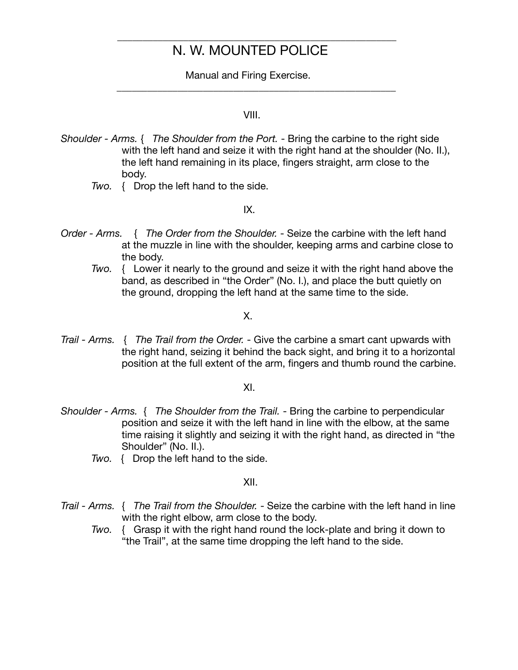\_\_\_\_\_\_\_\_\_\_\_\_\_\_\_\_\_\_\_\_\_\_\_\_\_\_\_\_\_\_\_\_\_\_\_\_\_\_\_\_\_\_\_\_\_\_\_\_\_\_\_\_\_\_\_

 Manual and Firing Exercise. \_\_\_\_\_\_\_\_\_\_\_\_\_\_\_\_\_\_\_\_\_\_\_\_\_\_\_\_\_\_\_\_\_\_\_\_\_\_\_\_\_\_\_\_\_\_\_\_\_\_\_\_\_\_\_

#### VIII.

- *Shoulder Arms.* { *The Shoulder from the Port.* Bring the carbine to the right side with the left hand and seize it with the right hand at the shoulder (No. II.), the left hand remaining in its place, fingers straight, arm close to the body.
	- *Two.* { Drop the left hand to the side.

#### IX.

- *Order Arms.* { *The Order from the Shoulder.* Seize the carbine with the left hand at the muzzle in line with the shoulder, keeping arms and carbine close to the body.
	- *Two.* { Lower it nearly to the ground and seize it with the right hand above the band, as described in "the Order" (No. I.), and place the butt quietly on the ground, dropping the left hand at the same time to the side.

#### X.

*Trail - Arms.* { *The Trail from the Order.* - Give the carbine a smart cant upwards with the right hand, seizing it behind the back sight, and bring it to a horizontal position at the full extent of the arm, fingers and thumb round the carbine.

#### XI.

- *Shoulder Arms.* { *The Shoulder from the Trail.* Bring the carbine to perpendicular position and seize it with the left hand in line with the elbow, at the same time raising it slightly and seizing it with the right hand, as directed in "the Shoulder" (No. II.).
	- *Two.* { Drop the left hand to the side.

#### XII.

- *Trail Arms.* { *The Trail from the Shoulder.* Seize the carbine with the left hand in line with the right elbow, arm close to the body.
	- *Two.* { Grasp it with the right hand round the lock-plate and bring it down to "the Trail", at the same time dropping the left hand to the side.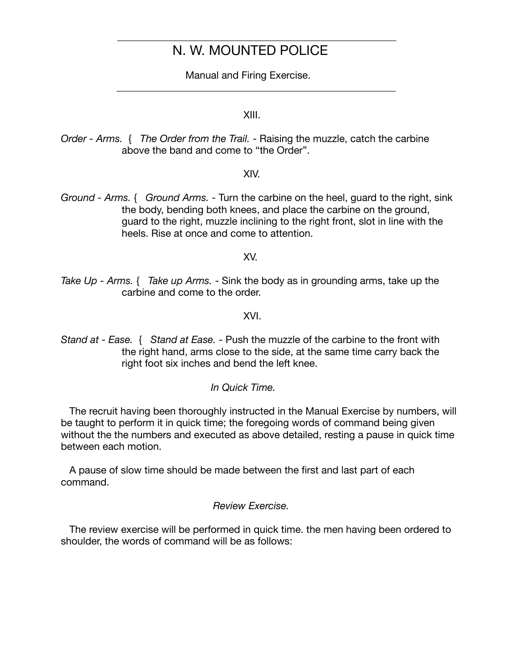\_\_\_\_\_\_\_\_\_\_\_\_\_\_\_\_\_\_\_\_\_\_\_\_\_\_\_\_\_\_\_\_\_\_\_\_\_\_\_\_\_\_\_\_\_\_\_\_\_\_\_\_\_\_\_

Manual and Firing Exercise.

\_\_\_\_\_\_\_\_\_\_\_\_\_\_\_\_\_\_\_\_\_\_\_\_\_\_\_\_\_\_\_\_\_\_\_\_\_\_\_\_\_\_\_\_\_\_\_\_\_\_\_\_\_\_\_

XIII.

*Order - Arms.* { *The Order from the Trail.* - Raising the muzzle, catch the carbine above the band and come to "the Order".

XIV.

*Ground - Arms.* { *Ground Arms.* - Turn the carbine on the heel, guard to the right, sink the body, bending both knees, and place the carbine on the ground, guard to the right, muzzle inclining to the right front, slot in line with the heels. Rise at once and come to attention.

XV.

*Take Up - Arms.* { *Take up Arms.* - Sink the body as in grounding arms, take up the carbine and come to the order.

XVI.

*Stand at - Ease.* { *Stand at Ease.* - Push the muzzle of the carbine to the front with the right hand, arms close to the side, at the same time carry back the right foot six inches and bend the left knee.

#### *In Quick Time.*

The recruit having been thoroughly instructed in the Manual Exercise by numbers, will be taught to perform it in quick time; the foregoing words of command being given without the the numbers and executed as above detailed, resting a pause in quick time between each motion.

 A pause of slow time should be made between the first and last part of each command.

#### *Review Exercise.*

The review exercise will be performed in quick time. the men having been ordered to shoulder, the words of command will be as follows: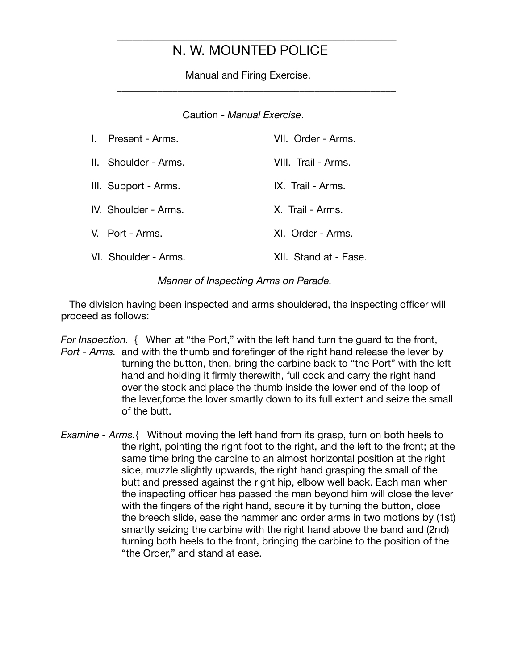\_\_\_\_\_\_\_\_\_\_\_\_\_\_\_\_\_\_\_\_\_\_\_\_\_\_\_\_\_\_\_\_\_\_\_\_\_\_\_\_\_\_\_\_\_\_\_\_\_\_\_\_\_\_\_

 Manual and Firing Exercise. \_\_\_\_\_\_\_\_\_\_\_\_\_\_\_\_\_\_\_\_\_\_\_\_\_\_\_\_\_\_\_\_\_\_\_\_\_\_\_\_\_\_\_\_\_\_\_\_\_\_\_\_\_\_\_

Caution - *Manual Exercise*.

| I. Present - Arms.   | VII. Order - Arms.    |
|----------------------|-----------------------|
| II. Shoulder - Arms. | VIII. Trail - Arms.   |
| III. Support - Arms. | IX. Trail - Arms.     |
| IV. Shoulder - Arms. | X. Trail - Arms.      |
| V. Port - Arms.      | XI. Order - Arms.     |
| VI. Shoulder - Arms. | XII. Stand at - Ease. |

*Manner of Inspecting Arms on Parade.*

 The division having been inspected and arms shouldered, the inspecting officer will proceed as follows:

*For Inspection.* { When at "the Port," with the left hand turn the guard to the front, *Port - Arms.* and with the thumb and forefinger of the right hand release the lever by turning the button, then, bring the carbine back to "the Port" with the left hand and holding it firmly therewith, full cock and carry the right hand over the stock and place the thumb inside the lower end of the loop of the lever,force the lover smartly down to its full extent and seize the small of the butt.

*Examine - Arms.*{ Without moving the left hand from its grasp, turn on both heels to the right, pointing the right foot to the right, and the left to the front; at the same time bring the carbine to an almost horizontal position at the right side, muzzle slightly upwards, the right hand grasping the small of the butt and pressed against the right hip, elbow well back. Each man when the inspecting officer has passed the man beyond him will close the lever with the fingers of the right hand, secure it by turning the button, close the breech slide, ease the hammer and order arms in two motions by (1st) smartly seizing the carbine with the right hand above the band and (2nd) turning both heels to the front, bringing the carbine to the position of the "the Order," and stand at ease.